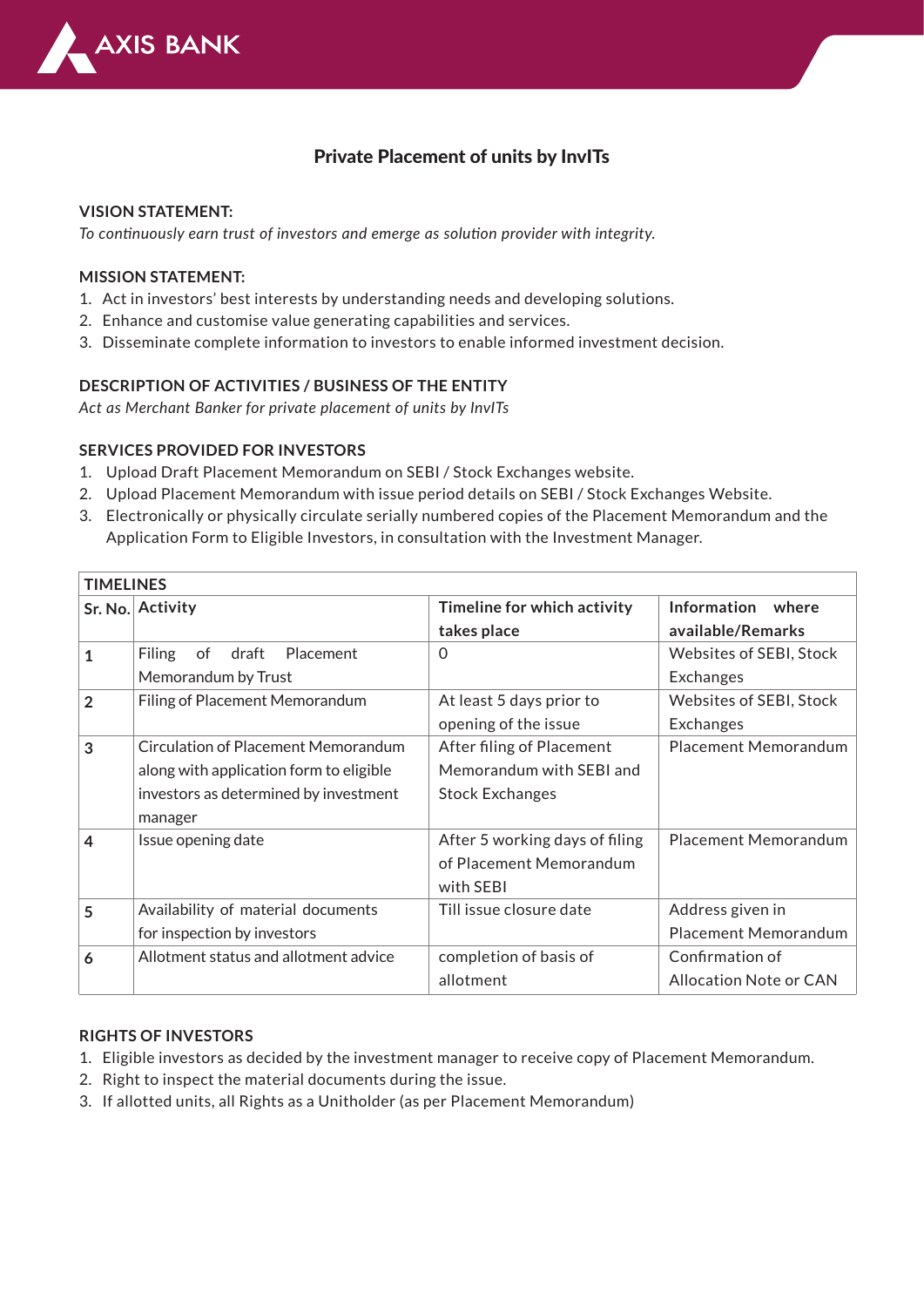

## Private Placement of units by InvITs

### **VISION STATEMENT:**

*To continuously earn trust of investors and emerge as solution provider with integrity.*

#### **MISSION STATEMENT:**

- 1. Act in investors' best interests by understanding needs and developing solutions.
- 2. Enhance and customise value generating capabilities and services.
- 3. Disseminate complete information to investors to enable informed investment decision.

### **DESCRIPTION OF ACTIVITIES / BUSINESS OF THE ENTITY**

*Act as Merchant Banker for private placement of units by InvITs*

#### **SERVICES PROVIDED FOR INVESTORS**

- 1. Upload Draft Placement Memorandum on SEBI / Stock Exchanges website.
- 2. Upload Placement Memorandum with issue period details on SEBI / Stock Exchanges Website.
- Electronically or physically circulate serially numbered copies of the Placement Memorandum and the 3. Application Form to Eligible Investors, in consultation with the Investment Manager.

| <b>TIMELINES</b> |                                           |                                |                               |  |
|------------------|-------------------------------------------|--------------------------------|-------------------------------|--|
|                  | Sr. No. Activity                          | Timeline for which activity    | Information where             |  |
|                  |                                           | takes place                    | available/Remarks             |  |
| $\mathbf{1}$     | <b>Filing</b><br>Placement<br>draft<br>of | 0                              | Websites of SEBI, Stock       |  |
|                  | Memorandum by Trust                       |                                | Exchanges                     |  |
| $\overline{2}$   | Filing of Placement Memorandum            | At least 5 days prior to       | Websites of SEBI, Stock       |  |
|                  |                                           | opening of the issue           | Exchanges                     |  |
| 3                | Circulation of Placement Memorandum       | After filing of Placement      | <b>Placement Memorandum</b>   |  |
|                  | along with application form to eligible   | Memorandum with SEBI and       |                               |  |
|                  | investors as determined by investment     | <b>Stock Exchanges</b>         |                               |  |
|                  | manager                                   |                                |                               |  |
| 4                | Issue opening date                        | After 5 working days of filing | <b>Placement Memorandum</b>   |  |
|                  |                                           | of Placement Memorandum        |                               |  |
|                  |                                           | with SEBI                      |                               |  |
| 5                | Availability of material documents        | Till issue closure date        | Address given in              |  |
|                  | for inspection by investors               |                                | <b>Placement Memorandum</b>   |  |
| 6                | Allotment status and allotment advice     | completion of basis of         | Confirmation of               |  |
|                  |                                           | allotment                      | <b>Allocation Note or CAN</b> |  |

### **RIGHTS OF INVESTORS**

- 1. Eligible investors as decided by the investment manager to receive copy of Placement Memorandum.
- 2. Right to inspect the material documents during the issue.
- 3. If allotted units, all Rights as a Unitholder (as per Placement Memorandum)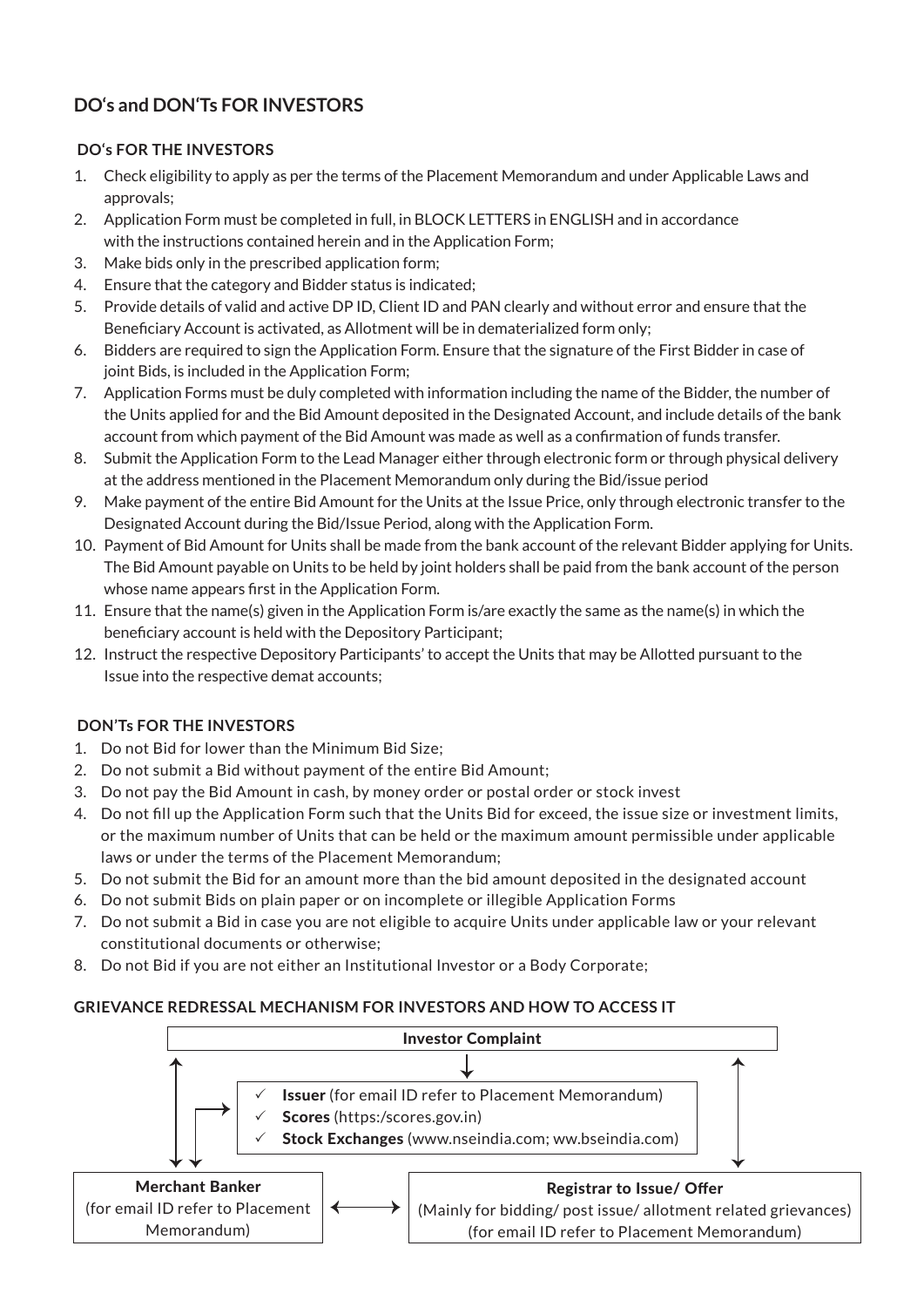# **DO's and DON'Ts FOR INVESTORS**

## **DO's FOR THE INVESTORS**

- Check eligibility to apply as per the terms of the Placement Memorandum and under Applicable Laws and 1. approvals;
- 2. Application Form must be completed in full, in BLOCK LETTERS in ENGLISH and in accordance with the instructions contained herein and in the Application Form;
- Make bids only in the prescribed application form; 3.
- Ensure that the category and Bidder status is indicated; 4.
- 5. Provide details of valid and active DP ID, Client ID and PAN clearly and without error and ensure that the Beneficiary Account is activated, as Allotment will be in dematerialized form only;
- 6. Bidders are required to sign the Application Form. Ensure that the signature of the First Bidder in case of joint Bids, is included in the Application Form;
- 7. Application Forms must be duly completed with information including the name of the Bidder, the number of the Units applied for and the Bid Amount deposited in the Designated Account, and include details of the bank account from which payment of the Bid Amount was made as well as a confirmation of funds transfer.
- 8. Submit the Application Form to the Lead Manager either through electronic form or through physical delivery at the address mentioned in the Placement Memorandum only during the Bid/issue period
- Make payment of the entire Bid Amount for the Units at the Issue Price, only through electronic transfer to the 9. Designated Account during the Bid/Issue Period, along with the Application Form.
- 10. Payment of Bid Amount for Units shall be made from the bank account of the relevant Bidder applying for Units. The Bid Amount payable on Units to be held by joint holders shall be paid from the bank account of the person whose name appears first in the Application Form.
- 11. Ensure that the name(s) given in the Application Form is/are exactly the same as the name(s) in which the beneficiary account is held with the Depository Participant;
- 12. Instruct the respective Depository Participants' to accept the Units that may be Allotted pursuant to the Issue into the respective demat accounts;

## **DON'Ts FOR THE INVESTORS**

- 1. Do not Bid for lower than the Minimum Bid Size;
- 2. Do not submit a Bid without payment of the entire Bid Amount;
- Do not pay the Bid Amount in cash, by money order or postal order or stock invest 3.
- Do not fill up the Application Form such that the Units Bid for exceed, the issue size or investment limits, 4. or the maximum number of Units that can be held or the maximum amount permissible under applicable laws or under the terms of the Placement Memorandum;
- Do not submit the Bid for an amount more than the bid amount deposited in the designated account 5.
- Do not submit Bids on plain paper or on incomplete or illegible Application Forms 6.
- Do not submit a Bid in case you are not eligible to acquire Units under applicable law or your relevant 7. constitutional documents or otherwise;
- Do not Bid if you are not either an Institutional Investor or a Body Corporate; 8.

## **GRIEVANCE REDRESSAL MECHANISM FOR INVESTORS AND HOW TO ACCESS IT**